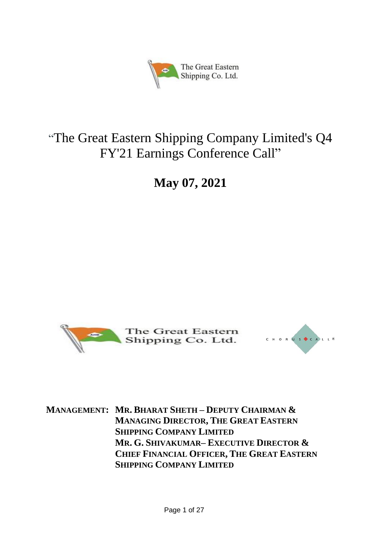

# "The Great Eastern Shipping Company Limited's Q4 FY'21 Earnings Conference Call"

**May 07, 2021**





**MANAGEMENT: MR. BHARAT SHETH – DEPUTY CHAIRMAN & MANAGING DIRECTOR, THE GREAT EASTERN SHIPPING COMPANY LIMITED MR. G. SHIVAKUMAR– EXECUTIVE DIRECTOR & CHIEF FINANCIAL OFFICER, THE GREAT EASTERN SHIPPING COMPANY LIMITED**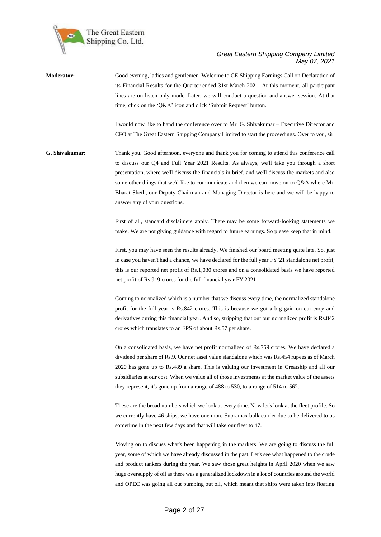

**Moderator:** Good evening, ladies and gentlemen. Welcome to GE Shipping Earnings Call on Declaration of its Financial Results for the Quarter-ended 31st March 2021. At this moment, all participant lines are on listen-only mode. Later, we will conduct a question-and-answer session. At that time, click on the 'Q&A' icon and click 'Submit Request' button.

> I would now like to hand the conference over to Mr. G. Shivakumar – Executive Director and CFO at The Great Eastern Shipping Company Limited to start the proceedings. Over to you, sir.

**G. Shivakumar:** Thank you. Good afternoon, everyone and thank you for coming to attend this conference call to discuss our Q4 and Full Year 2021 Results. As always, we'll take you through a short presentation, where we'll discuss the financials in brief, and we'll discuss the markets and also some other things that we'd like to communicate and then we can move on to Q&A where Mr. Bharat Sheth, our Deputy Chairman and Managing Director is here and we will be happy to answer any of your questions.

> First of all, standard disclaimers apply. There may be some forward-looking statements we make. We are not giving guidance with regard to future earnings. So please keep that in mind.

> First, you may have seen the results already. We finished our board meeting quite late. So, just in case you haven't had a chance, we have declared for the full year FY'21 standalone net profit, this is our reported net profit of Rs.1,030 crores and on a consolidated basis we have reported net profit of Rs.919 crores for the full financial year FY'2021.

> Coming to normalized which is a number that we discuss every time, the normalized standalone profit for the full year is Rs.842 crores. This is because we got a big gain on currency and derivatives during this financial year. And so, stripping that out our normalized profit is Rs.842 crores which translates to an EPS of about Rs.57 per share.

> On a consolidated basis, we have net profit normalized of Rs.759 crores. We have declared a dividend per share of Rs.9. Our net asset value standalone which was Rs.454 rupees as of March 2020 has gone up to Rs.489 a share. This is valuing our investment in Greatship and all our subsidiaries at our cost. When we value all of those investments at the market value of the assets they represent, it's gone up from a range of 488 to 530, to a range of 514 to 562.

> These are the broad numbers which we look at every time. Now let's look at the fleet profile. So we currently have 46 ships, we have one more Supramax bulk carrier due to be delivered to us sometime in the next few days and that will take our fleet to 47.

> Moving on to discuss what's been happening in the markets. We are going to discuss the full year, some of which we have already discussed in the past. Let's see what happened to the crude and product tankers during the year. We saw those great heights in April 2020 when we saw huge oversupply of oil as there was a generalized lockdown in a lot of countries around the world and OPEC was going all out pumping out oil, which meant that ships were taken into floating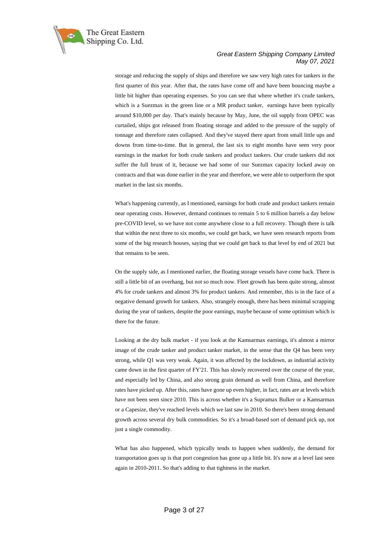

storage and reducing the supply of ships and therefore we saw very high rates for tankers in the first quarter of this year. After that, the rates have come off and have been bouncing maybe a little bit higher than operating expenses. So you can see that where whether it's crude tankers, which is a Suezmax in the green line or a MR product tanker, earnings have been typically around \$10,000 per day. That's mainly because by May, June, the oil supply from OPEC was curtailed, ships got released from floating storage and added to the pressure of the supply of tonnage and therefore rates collapsed. And they've stayed there apart from small little ups and downs from time-to-time. But in general, the last six to eight months have seen very poor earnings in the market for both crude tankers and product tankers. Our crude tankers did not suffer the full brunt of it, because we had some of our Suezmax capacity locked away on contracts and that was done earlier in the year and therefore, we were able to outperform the spot market in the last six months.

What's happening currently, as I mentioned, earnings for both crude and product tankers remain near operating costs. However, demand continues to remain 5 to 6 million barrels a day below pre-COVID level, so we have not come anywhere close to a full recovery. Though there is talk that within the next three to six months, we could get back, we have seen research reports from some of the big research houses, saying that we could get back to that level by end of 2021 but that remains to be seen.

On the supply side, as I mentioned earlier, the floating storage vessels have come back. There is still a little bit of an overhang, but not so much now. Fleet growth has been quite strong, almost 4% for crude tankers and almost 3% for product tankers. And remember, this is in the face of a negative demand growth for tankers. Also, strangely enough, there has been minimal scrapping during the year of tankers, despite the poor earnings, maybe because of some optimism which is there for the future.

Looking at the dry bulk market - if you look at the Kamsarmax earnings, it's almost a mirror image of the crude tanker and product tanker market, in the sense that the Q4 has been very strong, while Q1 was very weak. Again, it was affected by the lockdown, as industrial activity came down in the first quarter of FY'21. This has slowly recovered over the course of the year, and especially led by China, and also strong grain demand as well from China, and therefore rates have picked up. After this, rates have gone up even higher, in fact, rates are at levels which have not been seen since 2010. This is across whether it's a Supramax Bulker or a Kamsarmax or a Capesize, they've reached levels which we last saw in 2010. So there's been strong demand growth across several dry bulk commodities. So it's a broad-based sort of demand pick up, not just a single commodity.

What has also happened, which typically tends to happen when suddenly, the demand for transportation goes up is that port congestion has gone up a little bit. It's now at a level last seen again in 2010-2011. So that's adding to that tightness in the market.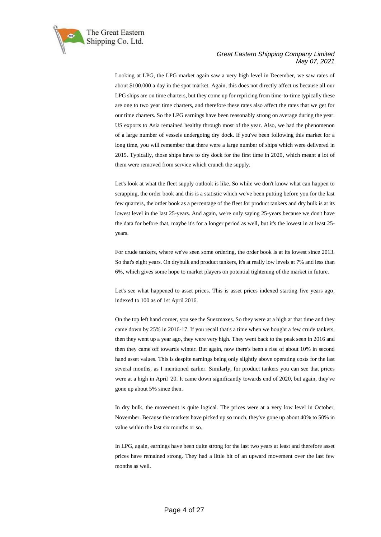

Looking at LPG, the LPG market again saw a very high level in December, we saw rates of about \$100,000 a day in the spot market. Again, this does not directly affect us because all our LPG ships are on time charters, but they come up for repricing from time-to-time typically these are one to two year time charters, and therefore these rates also affect the rates that we get for our time charters. So the LPG earnings have been reasonably strong on average during the year. US exports to Asia remained healthy through most of the year. Also, we had the phenomenon of a large number of vessels undergoing dry dock. If you've been following this market for a long time, you will remember that there were a large number of ships which were delivered in 2015. Typically, those ships have to dry dock for the first time in 2020, which meant a lot of them were removed from service which crunch the supply.

Let's look at what the fleet supply outlook is like. So while we don't know what can happen to scrapping, the order book and this is a statistic which we've been putting before you for the last few quarters, the order book as a percentage of the fleet for product tankers and dry bulk is at its lowest level in the last 25-years. And again, we're only saying 25-years because we don't have the data for before that, maybe it's for a longer period as well, but it's the lowest in at least 25 years.

For crude tankers, where we've seen some ordering, the order book is at its lowest since 2013. So that's eight years. On drybulk and product tankers, it's at really low levels at 7% and less than 6%, which gives some hope to market players on potential tightening of the market in future.

Let's see what happened to asset prices. This is asset prices indexed starting five years ago, indexed to 100 as of 1st April 2016.

On the top left hand corner, you see the Suezmaxes. So they were at a high at that time and they came down by 25% in 2016-17. If you recall that's a time when we bought a few crude tankers, then they went up a year ago, they were very high. They went back to the peak seen in 2016 and then they came off towards winter. But again, now there's been a rise of about 10% in second hand asset values. This is despite earnings being only slightly above operating costs for the last several months, as I mentioned earlier. Similarly, for product tankers you can see that prices were at a high in April '20. It came down significantly towards end of 2020, but again, they've gone up about 5% since then.

In dry bulk, the movement is quite logical. The prices were at a very low level in October, November. Because the markets have picked up so much, they've gone up about 40% to 50% in value within the last six months or so.

In LPG, again, earnings have been quite strong for the last two years at least and therefore asset prices have remained strong. They had a little bit of an upward movement over the last few months as well.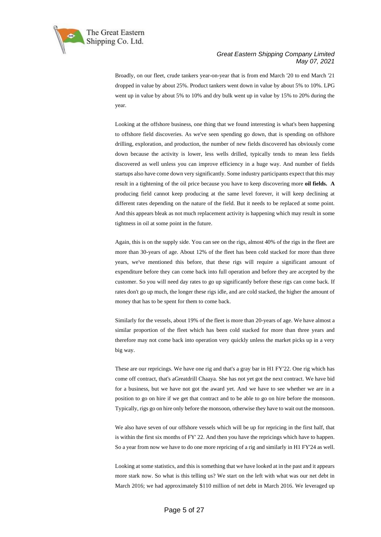

Broadly, on our fleet, crude tankers year-on-year that is from end March '20 to end March '21 dropped in value by about 25%. Product tankers went down in value by about 5% to 10%. LPG went up in value by about 5% to 10% and dry bulk went up in value by 15% to 20% during the year.

Looking at the offshore business, one thing that we found interesting is what's been happening to offshore field discoveries. As we've seen spending go down, that is spending on offshore drilling, exploration, and production, the number of new fields discovered has obviously come down because the activity is lower, less wells drilled, typically tends to mean less fields discovered as well unless you can improve efficiency in a huge way. And number of fields startups also have come down very significantly. Some industry participants expect that this may result in a tightening of the oil price because you have to keep discovering more **oil fields. A** producing field cannot keep producing at the same level forever, it will keep declining at different rates depending on the nature of the field. But it needs to be replaced at some point. And this appears bleak as not much replacement activity is happening which may result in some tightness in oil at some point in the future.

Again, this is on the supply side. You can see on the rigs, almost 40% of the rigs in the fleet are more than 30-years of age. About 12% of the fleet has been cold stacked for more than three years, we've mentioned this before, that these rigs will require a significant amount of expenditure before they can come back into full operation and before they are accepted by the customer. So you will need day rates to go up significantly before these rigs can come back. If rates don't go up much, the longer these rigs idle, and are cold stacked, the higher the amount of money that has to be spent for them to come back.

Similarly for the vessels, about 19% of the fleet is more than 20-years of age. We have almost a similar proportion of the fleet which has been cold stacked for more than three years and therefore may not come back into operation very quickly unless the market picks up in a very big way.

These are our repricings. We have one rig and that's a gray bar in H1 FY'22. One rig which has come off contract, that's aGreatdrill Chaaya. She has not yet got the next contract. We have bid for a business, but we have not got the award yet. And we have to see whether we are in a position to go on hire if we get that contract and to be able to go on hire before the monsoon. Typically, rigs go on hire only before the monsoon, otherwise they have to wait out the monsoon.

We also have seven of our offshore vessels which will be up for repricing in the first half, that is within the first six months of FY' 22. And then you have the repricings which have to happen. So a year from now we have to do one more repricing of a rig and similarly in H1 FY'24 as well.

Looking at some statistics, and this is something that we have looked at in the past and it appears more stark now. So what is this telling us? We start on the left with what was our net debt in March 2016; we had approximately \$110 million of net debt in March 2016. We leveraged up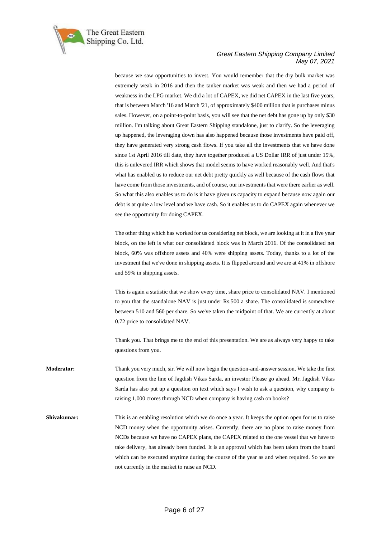

because we saw opportunities to invest. You would remember that the dry bulk market was extremely weak in 2016 and then the tanker market was weak and then we had a period of weakness in the LPG market. We did a lot of CAPEX, we did net CAPEX in the last five years, that is between March '16 and March '21, of approximately \$400 million that is purchases minus sales. However, on a point-to-point basis, you will see that the net debt has gone up by only \$30 million. I'm talking about Great Eastern Shipping standalone, just to clarify. So the leveraging up happened, the leveraging down has also happened because those investments have paid off, they have generated very strong cash flows. If you take all the investments that we have done since 1st April 2016 till date, they have together produced a US Dollar IRR of just under 15%, this is unlevered IRR which shows that model seems to have worked reasonably well. And that's what has enabled us to reduce our net debt pretty quickly as well because of the cash flows that have come from those investments, and of course, our investments that were there earlier as well. So what this also enables us to do is it have given us capacity to expand because now again our debt is at quite a low level and we have cash. So it enables us to do CAPEX again whenever we see the opportunity for doing CAPEX.

The other thing which has worked for us considering net block, we are looking at it in a five year block, on the left is what our consolidated block was in March 2016. Of the consolidated net block, 60% was offshore assets and 40% were shipping assets. Today, thanks to a lot of the investment that we've done in shipping assets. It is flipped around and we are at 41% in offshore and 59% in shipping assets.

This is again a statistic that we show every time, share price to consolidated NAV. I mentioned to you that the standalone NAV is just under Rs.500 a share. The consolidated is somewhere between 510 and 560 per share. So we've taken the midpoint of that. We are currently at about 0.72 price to consolidated NAV.

Thank you. That brings me to the end of this presentation. We are as always very happy to take questions from you.

- **Moderator:** Thank you very much, sir. We will now begin the question-and-answer session. We take the first question from the line of Jagdish Vikas Sarda, an investor Please go ahead. Mr. Jagdish Vikas Sarda has also put up a question on text which says I wish to ask a question, why company is raising 1,000 crores through NCD when company is having cash on books?
- **Shivakumar:** This is an enabling resolution which we do once a year. It keeps the option open for us to raise NCD money when the opportunity arises. Currently, there are no plans to raise money from NCDs because we have no CAPEX plans, the CAPEX related to the one vessel that we have to take delivery, has already been funded. It is an approval which has been taken from the board which can be executed anytime during the course of the year as and when required. So we are not currently in the market to raise an NCD.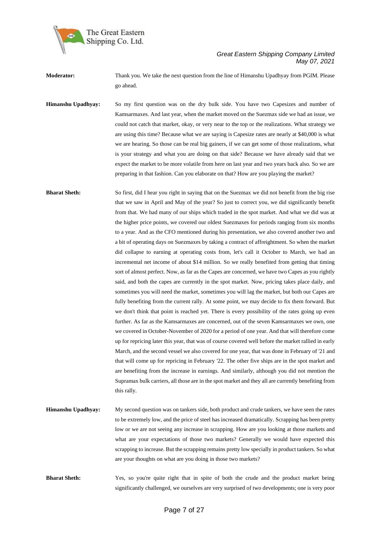

**Moderator:** Thank you. We take the next question from the line of Himanshu Upadhyay from PGIM. Please go ahead.

**Himanshu Upadhyay:** So my first question was on the dry bulk side. You have two Capesizes and number of Kamsarmaxes. And last year, when the market moved on the Suezmax side we had an issue, we could not catch that market, okay, or very near to the top or the realizations. What strategy we are using this time? Because what we are saying is Capesize rates are nearly at \$40,000 is what we are hearing. So those can be real big gainers, if we can get some of those realizations, what is your strategy and what you are doing on that side? Because we have already said that we expect the market to be more volatile from here on last year and two years back also. So we are preparing in that fashion. Can you elaborate on that? How are you playing the market?

**Bharat Sheth:** So first, did I hear you right in saying that on the Suezmax we did not benefit from the big rise that we saw in April and May of the year? So just to correct you, we did significantly benefit from that. We had many of our ships which traded in the spot market. And what we did was at the higher price points, we covered our oldest Suezmaxes for periods ranging from six months to a year. And as the CFO mentioned during his presentation, we also covered another two and a bit of operating days on Suezmaxes by taking a contract of affreightment. So when the market did collapse to earning at operating costs from, let's call it October to March, we had an incremental net income of about \$14 million. So we really benefited from getting that timing sort of almost perfect. Now, as far as the Capes are concerned, we have two Capes as you rightly said, and both the capes are currently in the spot market. Now, pricing takes place daily, and sometimes you will need the market, sometimes you will lag the market, but both our Capes are fully benefiting from the current rally. At some point, we may decide to fix them forward. But we don't think that point is reached yet. There is every possibility of the rates going up even further. As far as the Kamsarmaxes are concerned, out of the seven Kamsarmaxes we own, one we covered in October-November of 2020 for a period of one year. And that will therefore come up for repricing later this year, that was of course covered well before the market rallied in early March, and the second vessel we also covered for one year, that was done in February of '21 and that will come up for repricing in February '22. The other five ships are in the spot market and are benefiting from the increase in earnings. And similarly, although you did not mention the Supramax bulk carriers, all those are in the spot market and they all are currently benefiting from this rally.

**Himanshu Upadhyay:** My second question was on tankers side, both product and crude tankers, we have seen the rates to be extremely low, and the price of steel has increased dramatically. Scrapping has been pretty low or we are not seeing any increase in scrapping. How are you looking at those markets and what are your expectations of those two markets? Generally we would have expected this scrapping to increase. But the scrapping remains pretty low specially in product tankers. So what are your thoughts on what are you doing in those two markets?

**Bharat Sheth:** Yes, so you're quite right that in spite of both the crude and the product market being significantly challenged, we ourselves are very surprised of two developments; one is very poor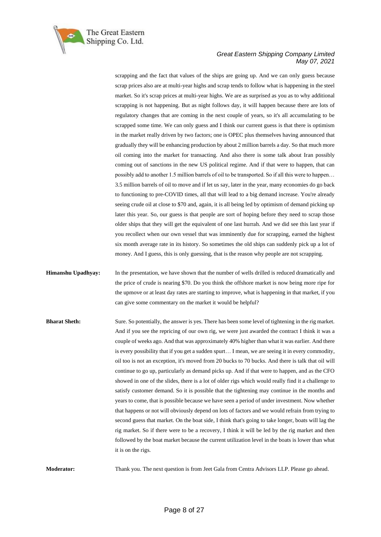

scrapping and the fact that values of the ships are going up. And we can only guess because scrap prices also are at multi-year highs and scrap tends to follow what is happening in the steel market. So it's scrap prices at multi-year highs. We are as surprised as you as to why additional scrapping is not happening. But as night follows day, it will happen because there are lots of regulatory changes that are coming in the next couple of years, so it's all accumulating to be scrapped some time. We can only guess and I think our current guess is that there is optimism in the market really driven by two factors; one is OPEC plus themselves having announced that gradually they will be enhancing production by about 2 million barrels a day. So that much more oil coming into the market for transacting. And also there is some talk about Iran possibly coming out of sanctions in the new US political regime. And if that were to happen, that can possibly add to another 1.5 million barrels of oil to be transported. So if all this were to happen… 3.5 million barrels of oil to move and if let us say, later in the year, many economies do go back to functioning to pre-COVID times, all that will lead to a big demand increase. You're already seeing crude oil at close to \$70 and, again, it is all being led by optimism of demand picking up later this year. So, our guess is that people are sort of hoping before they need to scrap those older ships that they will get the equivalent of one last hurrah. And we did see this last year if you recollect when our own vessel that was imminently due for scrapping, earned the highest six month average rate in its history. So sometimes the old ships can suddenly pick up a lot of money. And I guess, this is only guessing, that is the reason why people are not scrapping.

**Himanshu Upadhyay:** In the presentation, we have shown that the number of wells drilled is reduced dramatically and the price of crude is nearing \$70. Do you think the offshore market is now being more ripe for the upmove or at least day rates are starting to improve, what is happening in that market, if you can give some commentary on the market it would be helpful?

**Bharat Sheth:** Sure. So potentially, the answer is yes. There has been some level of tightening in the rig market. And if you see the repricing of our own rig, we were just awarded the contract I think it was a couple of weeks ago. And that was approximately 40% higher than what it was earlier. And there is every possibility that if you get a sudden spurt… I mean, we are seeing it in every commodity, oil too is not an exception, it's moved from 20 bucks to 70 bucks. And there is talk that oil will continue to go up, particularly as demand picks up. And if that were to happen, and as the CFO showed in one of the slides, there is a lot of older rigs which would really find it a challenge to satisfy customer demand. So it is possible that the tightening may continue in the months and years to come, that is possible because we have seen a period of under investment. Now whether that happens or not will obviously depend on lots of factors and we would refrain from trying to second guess that market. On the boat side, I think that's going to take longer, boats will lag the rig market. So if there were to be a recovery, I think it will be led by the rig market and then followed by the boat market because the current utilization level in the boats is lower than what it is on the rigs.

**Moderator:** Thank you. The next question is from Jeet Gala from Centra Advisors LLP. Please go ahead.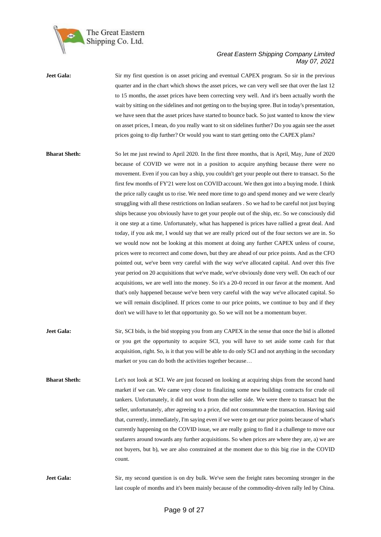

| <b>Jeet Gala:</b>    | Sir my first question is on asset pricing and eventual CAPEX program. So sir in the previous          |
|----------------------|-------------------------------------------------------------------------------------------------------|
|                      | quarter and in the chart which shows the asset prices, we can very well see that over the last 12     |
|                      | to 15 months, the asset prices have been correcting very well. And it's been actually worth the       |
|                      | wait by sitting on the sidelines and not getting on to the buying spree. But in today's presentation, |
|                      | we have seen that the asset prices have started to bounce back. So just wanted to know the view       |
|                      | on asset prices, I mean, do you really want to sit on sidelines further? Do you again see the asset   |
|                      | prices going to dip further? Or would you want to start getting onto the CAPEX plans?                 |
|                      |                                                                                                       |
| <b>Bharat Sheth:</b> | So let me just rewind to April 2020. In the first three months, that is April, May, June of 2020      |
|                      | because of COVID we were not in a position to acquire anything because there were no                  |
|                      | movement. Even if you can buy a ship, you couldn't get your people out there to transact. So the      |
|                      | first few months of FY'21 were lost on COVID account. We then got into a buying mode. I think         |
|                      | the price rally caught us to rise. We need more time to go and spend money and we were clearly        |
|                      | struggling with all these restrictions on Indian seafarers. So we had to be careful not just buying   |
|                      | ships because you obviously have to get your people out of the ship, etc. So we consciously did       |
|                      | it one step at a time. Unfortunately, what has happened is prices have rallied a great deal. And      |

today, if you ask me, I would say that we are really priced out of the four sectors we are in. So we would now not be looking at this moment at doing any further CAPEX unless of course, prices were to recorrect and come down, but they are ahead of our price points. And as the CFO pointed out, we've been very careful with the way we've allocated capital. And over this five year period on 20 acquisitions that we've made, we've obviously done very well. On each of our acquisitions, we are well into the money. So it's a 20-0 record in our favor at the moment. And that's only happened because we've been very careful with the way we've allocated capital. So we will remain disciplined. If prices come to our price points, we continue to buy and if they

**Jeet Gala:** Sir, SCI bids, is the bid stopping you from any CAPEX in the sense that once the bid is allotted or you get the opportunity to acquire SCI, you will have to set aside some cash for that acquisition, right. So, is it that you will be able to do only SCI and not anything in the secondary market or you can do both the activities together because…

don't we will have to let that opportunity go. So we will not be a momentum buyer.

**Bharat Sheth:** Let's not look at SCI. We are just focused on looking at acquiring ships from the second hand market if we can. We came very close to finalizing some new building contracts for crude oil tankers. Unfortunately, it did not work from the seller side. We were there to transact but the seller, unfortunately, after agreeing to a price, did not consummate the transaction. Having said that, currently, immediately, I'm saying even if we were to get our price points because of what's currently happening on the COVID issue, we are really going to find it a challenge to move our seafarers around towards any further acquisitions. So when prices are where they are, a) we are not buyers, but b), we are also constrained at the moment due to this big rise in the COVID count.

**Jeet Gala:** Sir, my second question is on dry bulk. We've seen the freight rates becoming stronger in the last couple of months and it's been mainly because of the commodity-driven rally led by China.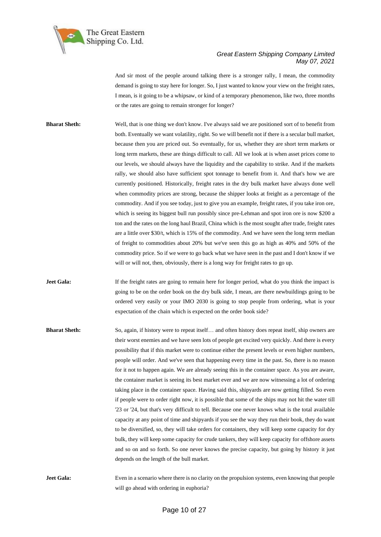

And sir most of the people around talking there is a stronger rally, I mean, the commodity demand is going to stay here for longer. So, I just wanted to know your view on the freight rates, I mean, is it going to be a whipsaw, or kind of a temporary phenomenon, like two, three months or the rates are going to remain stronger for longer?

**Bharat Sheth:** Well, that is one thing we don't know. I've always said we are positioned sort of to benefit from both. Eventually we want volatility, right. So we will benefit not if there is a secular bull market, because then you are priced out. So eventually, for us, whether they are short term markets or long term markets, these are things difficult to call. All we look at is when asset prices come to our levels, we should always have the liquidity and the capability to strike. And if the markets rally, we should also have sufficient spot tonnage to benefit from it. And that's how we are currently positioned. Historically, freight rates in the dry bulk market have always done well when commodity prices are strong, because the shipper looks at freight as a percentage of the commodity. And if you see today, just to give you an example, freight rates, if you take iron ore, which is seeing its biggest bull run possibly since pre-Lehman and spot iron ore is now \$200 a ton and the rates on the long haul Brazil, China which is the most sought after trade, freight rates are a little over \$30/t, which is 15% of the commodity. And we have seen the long term median of freight to commodities about 20% but we've seen this go as high as 40% and 50% of the commodity price. So if we were to go back what we have seen in the past and I don't know if we will or will not, then, obviously, there is a long way for freight rates to go up.

**Jeet Gala:** If the freight rates are going to remain here for longer period, what do you think the impact is going to be on the order book on the dry bulk side, I mean, are there newbuildings going to be ordered very easily or your IMO 2030 is going to stop people from ordering, what is your expectation of the chain which is expected on the order book side?

**Bharat Sheth:** So, again, if history were to repeat itself... and often history does repeat itself, ship owners are their worst enemies and we have seen lots of people get excited very quickly. And there is every possibility that if this market were to continue either the present levels or even higher numbers, people will order. And we've seen that happening every time in the past. So, there is no reason for it not to happen again. We are already seeing this in the container space. As you are aware, the container market is seeing its best market ever and we are now witnessing a lot of ordering taking place in the container space. Having said this, shipyards are now getting filled. So even if people were to order right now, it is possible that some of the ships may not hit the water till '23 or '24, but that's very difficult to tell. Because one never knows what is the total available capacity at any point of time and shipyards if you see the way they run their book, they do want to be diversified, so, they will take orders for containers, they will keep some capacity for dry bulk, they will keep some capacity for crude tankers, they will keep capacity for offshore assets and so on and so forth. So one never knows the precise capacity, but going by history it just depends on the length of the bull market.

**Jeet Gala:** Even in a scenario where there is no clarity on the propulsion systems, even knowing that people will go ahead with ordering in euphoria?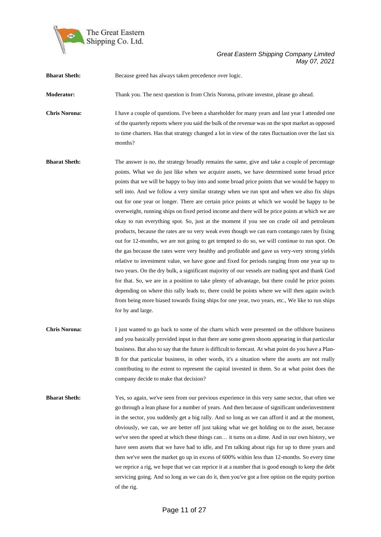

| <b>Bharat Sheth:</b> | Because greed has always taken precedence over logic.                                                                                                                                                                                                                                                                                                                                                                                                                                                                                                                                                                                                                                                                                                                                                                                                                                                                                                                                                                                                                                                                                                                                                                                                                                                                                                                                                                                                                                                                          |
|----------------------|--------------------------------------------------------------------------------------------------------------------------------------------------------------------------------------------------------------------------------------------------------------------------------------------------------------------------------------------------------------------------------------------------------------------------------------------------------------------------------------------------------------------------------------------------------------------------------------------------------------------------------------------------------------------------------------------------------------------------------------------------------------------------------------------------------------------------------------------------------------------------------------------------------------------------------------------------------------------------------------------------------------------------------------------------------------------------------------------------------------------------------------------------------------------------------------------------------------------------------------------------------------------------------------------------------------------------------------------------------------------------------------------------------------------------------------------------------------------------------------------------------------------------------|
| Moderator:           | Thank you. The next question is from Chris Norona, private investor, please go ahead.                                                                                                                                                                                                                                                                                                                                                                                                                                                                                                                                                                                                                                                                                                                                                                                                                                                                                                                                                                                                                                                                                                                                                                                                                                                                                                                                                                                                                                          |
| <b>Chris Norona:</b> | I have a couple of questions. I've been a shareholder for many years and last year I attended one<br>of the quarterly reports where you said the bulk of the revenue was on the spot market as opposed<br>to time charters. Has that strategy changed a lot in view of the rates fluctuation over the last six<br>months?                                                                                                                                                                                                                                                                                                                                                                                                                                                                                                                                                                                                                                                                                                                                                                                                                                                                                                                                                                                                                                                                                                                                                                                                      |
| <b>Bharat Sheth:</b> | The answer is no, the strategy broadly remains the same, give and take a couple of percentage<br>points. What we do just like when we acquire assets, we have determined some broad price<br>points that we will be happy to buy into and some broad price points that we would be happy to<br>sell into. And we follow a very similar strategy when we run spot and when we also fix ships<br>out for one year or longer. There are certain price points at which we would be happy to be<br>overweight, running ships on fixed period income and there will be price points at which we are<br>okay to run everything spot. So, just at the moment if you see on crude oil and petroleum<br>products, because the rates are so very weak even though we can earn contango rates by fixing<br>out for 12-months, we are not going to get tempted to do so, we will continue to run spot. On<br>the gas because the rates were very healthy and profitable and gave us very-very strong yields<br>relative to investment value, we have gone and fixed for periods ranging from one year up to<br>two years. On the dry bulk, a significant majority of our vessels are trading spot and thank God<br>for that. So, we are in a position to take plenty of advantage, but there could be price points<br>depending on where this rally leads to, there could be points where we will then again switch<br>from being more biased towards fixing ships for one year, two years, etc., We like to run ships<br>for by and large. |
| <b>Chris Norona:</b> | I just wanted to go back to some of the charts which were presented on the offshore business<br>and you basically provided input in that there are some green shoots appearing in that particular<br>business. But also to say that the future is difficult to forecast. At what point do you have a Plan-<br>B for that particular business, in other words, it's a situation where the assets are not really<br>contributing to the extent to represent the capital invested in them. So at what point does the<br>company decide to make that decision?                                                                                                                                                                                                                                                                                                                                                                                                                                                                                                                                                                                                                                                                                                                                                                                                                                                                                                                                                                     |
| <b>Bharat Sheth:</b> | Yes, so again, we've seen from our previous experience in this very same sector, that often we<br>go through a lean phase for a number of years. And then because of significant underinvestment<br>in the sector, you suddenly get a big rally. And so long as we can afford it and at the moment,<br>obviously, we can, we are better off just taking what we get holding on to the asset, because<br>we've seen the speed at which these things can it turns on a dime. And in our own history, we<br>have seen assets that we have had to idle, and I'm talking about rigs for up to three years and<br>then we've seen the market go up in excess of 600% within less than 12-months. So every time<br>we reprice a rig, we hope that we can reprice it at a number that is good enough to keep the debt<br>servicing going. And so long as we can do it, then you've got a free option on the equity portion<br>of the rig.                                                                                                                                                                                                                                                                                                                                                                                                                                                                                                                                                                                              |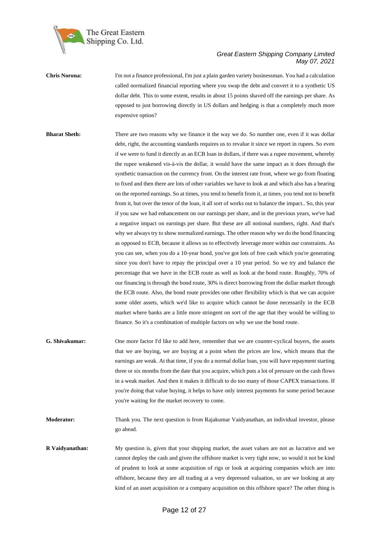

**Chris Norona:** I'm not a finance professional, I'm just a plain garden variety businessman. You had a calculation called normalized financial reporting where you swap the debt and convert it to a synthetic US dollar debt. This to some extent, results in about 15 points shaved off the earnings per share. As opposed to just borrowing directly in US dollars and hedging is that a completely much more expensive option?

**Bharat Sheth:** There are two reasons why we finance it the way we do. So number one, even if it was dollar debt, right, the accounting standards requires us to revalue it since we report in rupees. So even if we were to fund it directly as an ECB loan in dollars, if there was a rupee movement, whereby the rupee weakened vis-à-vis the dollar, it would have the same impact as it does through the synthetic transaction on the currency front. On the interest rate front, where we go from floating to fixed and then there are lots of other variables we have to look at and which also has a bearing on the reported earnings. So at times, you tend to benefit from it, at times, you tend not to benefit from it, but over the tenor of the loan, it all sort of works out to balance the impact.. So, this year if you saw we had enhancement on our earnings per share, and in the previous years, we've had a negative impact on earnings per share. But these are all notional numbers, right. And that's why we always try to show normalized earnings. The other reason why we do the bond financing as opposed to ECB, because it allows us to effectively leverage more within our constraints. As you can see, when you do a 10-year bond, you've got lots of free cash which you're generating since you don't have to repay the principal over a 10 year period. So we try and balance the percentage that we have in the ECB route as well as look at the bond route. Roughly, 70% of our financing is through the bond route, 30% is direct borrowing from the dollar market through the ECB route. Also, the bond route provides one other flexibility which is that we can acquire some older assets, which we'd like to acquire which cannot be done necessarily in the ECB market where banks are a little more stringent on sort of the age that they would be willing to finance. So it's a combination of multiple factors on why we use the bond route.

**G. Shivakumar:** One more factor I'd like to add here, remember that we are counter-cyclical buyers, the assets that we are buying, we are buying at a point when the prices are low, which means that the earnings are weak. At that time, if you do a normal dollar loan, you will have repayment starting three or six months from the date that you acquire, which puts a lot of pressure on the cash flows in a weak market. And then it makes it difficult to do too many of those CAPEX transactions. If you're doing that value buying, it helps to have only interest payments for some period because you're waiting for the market recovery to come.

**Moderator:** Thank you. The next question is from Rajakumar Vaidyanathan, an individual investor, please go ahead.

**R Vaidyanathan:** My question is, given that your shipping market, the asset values are not as lucrative and we cannot deploy the cash and given the offshore market is very tight now, so would it not be kind of prudent to look at some acquisition of rigs or look at acquiring companies which are into offshore, because they are all trading at a very depressed valuation, so are we looking at any kind of an asset acquisition or a company acquisition on this offshore space? The other thing is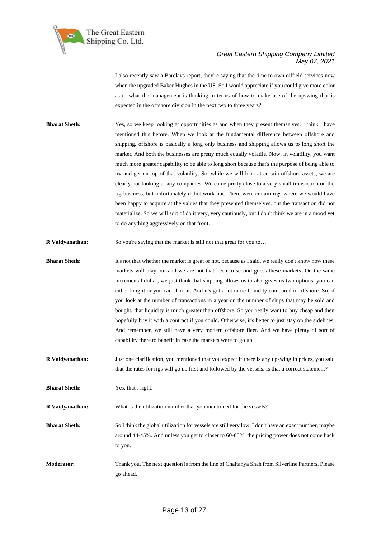

I also recently saw a Barclays report, they're saying that the time to own oilfield services now when the upgraded Baker Hughes in the US. So I would appreciate if you could give more color as to what the management is thinking in terms of how to make use of the upswing that is expected in the offshore division in the next two to three years?

- **Bharat Sheth:** Yes, so we keep looking at opportunities as and when they present themselves. I think I have mentioned this before. When we look at the fundamental difference between offshore and shipping, offshore is basically a long only business and shipping allows us to long short the market. And both the businesses are pretty much equally volatile. Now, in volatility, you want much more greater capability to be able to long short because that's the purpose of being able to try and get on top of that volatility. So, while we will look at certain offshore assets, we are clearly not looking at any companies. We came pretty close to a very small transaction on the rig business, but unfortunately didn't work out. There were certain rigs where we would have been happy to acquire at the values that they presented themselves, but the transaction did not materialize. So we will sort of do it very, very cautiously, but I don't think we are in a mood yet to do anything aggressively on that front.
- **R Vaidyanathan:** So you're saying that the market is still not that great for you to...
- **Bharat Sheth:** It's not that whether the market is great or not, because as I said, we really don't know how these markets will play out and we are not that keen to second guess these markets. On the same incremental dollar, we just think that shipping allows us to also gives us two options; you can either long it or you can short it. And it's got a lot more liquidity compared to offshore. So, if you look at the number of transactions in a year on the number of ships that may be sold and bought, that liquidity is much greater than offshore. So you really want to buy cheap and then hopefully buy it with a contract if you could. Otherwise, it's better to just stay on the sidelines. And remember, we still have a very modern offshore fleet. And we have plenty of sort of capability there to benefit in case the markets were to go up.
- **R Vaidyanathan:** Just one clarification, you mentioned that you expect if there is any upswing in prices, you said that the rates for rigs will go up first and followed by the vessels. Is that a correct statement?

**Bharat Sheth:** Yes, that's right.

**R Vaidyanathan:** What is the utilization number that you mentioned for the vessels?

- **Bharat Sheth:** So I think the global utilization for vessels are still very low. I don't have an exact number, maybe around 44-45%. And unless you get to closer to 60-65%, the pricing power does not come back to you.
- **Moderator:** Thank you. The next question is from the line of Chaitanya Shah from Silverline Partners. Please go ahead.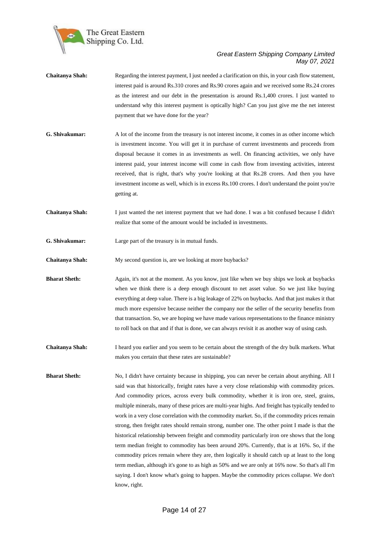

- **Chaitanya Shah:** Regarding the interest payment, I just needed a clarification on this, in your cash flow statement, interest paid is around Rs.310 crores and Rs.90 crores again and we received some Rs.24 crores as the interest and our debt in the presentation is around Rs.1,400 crores. I just wanted to understand why this interest payment is optically high? Can you just give me the net interest payment that we have done for the year?
- **G. Shivakumar:** A lot of the income from the treasury is not interest income, it comes in as other income which is investment income. You will get it in purchase of current investments and proceeds from disposal because it comes in as investments as well. On financing activities, we only have interest paid, your interest income will come in cash flow from investing activities, interest received, that is right, that's why you're looking at that Rs.28 crores. And then you have investment income as well, which is in excess Rs.100 crores. I don't understand the point you're getting at.
- **Chaitanya Shah:** I just wanted the net interest payment that we had done. I was a bit confused because I didn't realize that some of the amount would be included in investments.
- **G. Shivakumar:** Large part of the treasury is in mutual funds.
- **Chaitanya Shah:** My second question is, are we looking at more buybacks?
- **Bharat Sheth:** Again, it's not at the moment. As you know, just like when we buy ships we look at buybacks when we think there is a deep enough discount to net asset value. So we just like buying everything at deep value. There is a big leakage of 22% on buybacks. And that just makes it that much more expensive because neither the company nor the seller of the security benefits from that transaction. So, we are hoping we have made various representations to the finance ministry to roll back on that and if that is done, we can always revisit it as another way of using cash.
- **Chaitanya Shah:** I heard you earlier and you seem to be certain about the strength of the dry bulk markets. What makes you certain that these rates are sustainable?
- **Bharat Sheth:** No, I didn't have certainty because in shipping, you can never be certain about anything. All I said was that historically, freight rates have a very close relationship with commodity prices. And commodity prices, across every bulk commodity, whether it is iron ore, steel, grains, multiple minerals, many of these prices are multi-year highs. And freight has typically tended to work in a very close correlation with the commodity market. So, if the commodity prices remain strong, then freight rates should remain strong, number one. The other point I made is that the historical relationship between freight and commodity particularly iron ore shows that the long term median freight to commodity has been around 20%. Currently, that is at 16%. So, if the commodity prices remain where they are, then logically it should catch up at least to the long term median, although it's gone to as high as 50% and we are only at 16% now. So that's all I'm saying. I don't know what's going to happen. Maybe the commodity prices collapse. We don't know, right.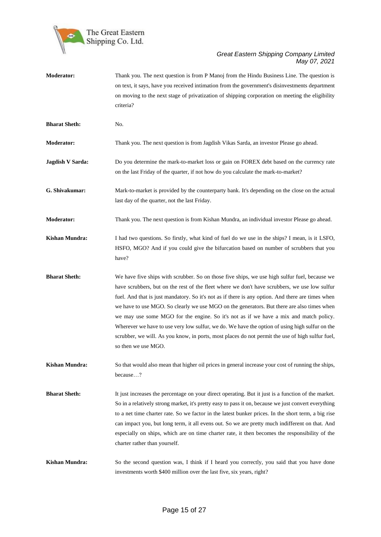

| <b>Moderator:</b>    | Thank you. The next question is from P Manoj from the Hindu Business Line. The question is<br>on text, it says, have you received intimation from the government's disinvestments department<br>on moving to the next stage of privatization of shipping corporation on meeting the eligibility<br>criteria?                                                                                                                                                                                                                                                                                                                                                                                                            |
|----------------------|-------------------------------------------------------------------------------------------------------------------------------------------------------------------------------------------------------------------------------------------------------------------------------------------------------------------------------------------------------------------------------------------------------------------------------------------------------------------------------------------------------------------------------------------------------------------------------------------------------------------------------------------------------------------------------------------------------------------------|
| <b>Bharat Sheth:</b> | No.                                                                                                                                                                                                                                                                                                                                                                                                                                                                                                                                                                                                                                                                                                                     |
| Moderator:           | Thank you. The next question is from Jagdish Vikas Sarda, an investor Please go ahead.                                                                                                                                                                                                                                                                                                                                                                                                                                                                                                                                                                                                                                  |
| Jagdish V Sarda:     | Do you determine the mark-to-market loss or gain on FOREX debt based on the currency rate<br>on the last Friday of the quarter, if not how do you calculate the mark-to-market?                                                                                                                                                                                                                                                                                                                                                                                                                                                                                                                                         |
| G. Shivakumar:       | Mark-to-market is provided by the counterparty bank. It's depending on the close on the actual<br>last day of the quarter, not the last Friday.                                                                                                                                                                                                                                                                                                                                                                                                                                                                                                                                                                         |
| Moderator:           | Thank you. The next question is from Kishan Mundra, an individual investor Please go ahead.                                                                                                                                                                                                                                                                                                                                                                                                                                                                                                                                                                                                                             |
| Kishan Mundra:       | I had two questions. So firstly, what kind of fuel do we use in the ships? I mean, is it LSFO,<br>HSFO, MGO? And if you could give the bifurcation based on number of scrubbers that you<br>have?                                                                                                                                                                                                                                                                                                                                                                                                                                                                                                                       |
| <b>Bharat Sheth:</b> | We have five ships with scrubber. So on those five ships, we use high sulfur fuel, because we<br>have scrubbers, but on the rest of the fleet where we don't have scrubbers, we use low sulfur<br>fuel. And that is just mandatory. So it's not as if there is any option. And there are times when<br>we have to use MGO. So clearly we use MGO on the generators. But there are also times when<br>we may use some MGO for the engine. So it's not as if we have a mix and match policy.<br>Wherever we have to use very low sulfur, we do. We have the option of using high sulfur on the<br>scrubber, we will. As you know, in ports, most places do not permit the use of high sulfur fuel,<br>so then we use MGO. |
| Kishan Mundra:       | So that would also mean that higher oil prices in general increase your cost of running the ships,<br>because?                                                                                                                                                                                                                                                                                                                                                                                                                                                                                                                                                                                                          |
| <b>Bharat Sheth:</b> | It just increases the percentage on your direct operating. But it just is a function of the market.<br>So in a relatively strong market, it's pretty easy to pass it on, because we just convert everything<br>to a net time charter rate. So we factor in the latest bunker prices. In the short term, a big rise<br>can impact you, but long term, it all evens out. So we are pretty much indifferent on that. And<br>especially on ships, which are on time charter rate, it then becomes the responsibility of the<br>charter rather than yourself.                                                                                                                                                                |
| Kishan Mundra:       | So the second question was, I think if I heard you correctly, you said that you have done<br>investments worth \$400 million over the last five, six years, right?                                                                                                                                                                                                                                                                                                                                                                                                                                                                                                                                                      |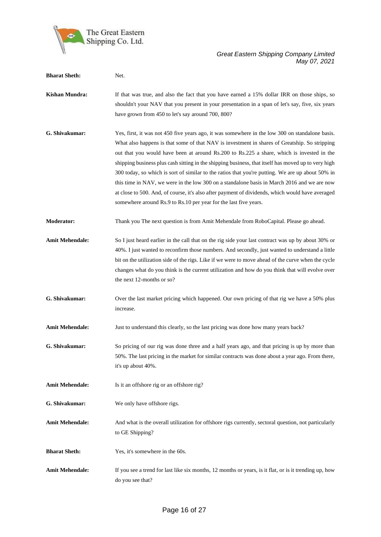

| <b>Bharat Sheth:</b>   | Net.                                                                                                                                                                                                                                                                                                                                                                                                                                                                                                                                                                                                                                                                                                                                                                            |
|------------------------|---------------------------------------------------------------------------------------------------------------------------------------------------------------------------------------------------------------------------------------------------------------------------------------------------------------------------------------------------------------------------------------------------------------------------------------------------------------------------------------------------------------------------------------------------------------------------------------------------------------------------------------------------------------------------------------------------------------------------------------------------------------------------------|
| <b>Kishan Mundra:</b>  | If that was true, and also the fact that you have earned a 15% dollar IRR on those ships, so<br>shouldn't your NAV that you present in your presentation in a span of let's say, five, six years<br>have grown from 450 to let's say around 700, 800?                                                                                                                                                                                                                                                                                                                                                                                                                                                                                                                           |
| G. Shivakumar:         | Yes, first, it was not 450 five years ago, it was somewhere in the low 300 on standalone basis.<br>What also happens is that some of that NAV is investment in shares of Greatship. So stripping<br>out that you would have been at around Rs.200 to Rs.225 a share, which is invested in the<br>shipping business plus cash sitting in the shipping business, that itself has moved up to very high<br>300 today, so which is sort of similar to the ratios that you're putting. We are up about 50% in<br>this time in NAV, we were in the low 300 on a standalone basis in March 2016 and we are now<br>at close to 500. And, of course, it's also after payment of dividends, which would have averaged<br>somewhere around Rs.9 to Rs.10 per year for the last five years. |
| <b>Moderator:</b>      | Thank you The next question is from Amit Mehendale from RoboCapital. Please go ahead.                                                                                                                                                                                                                                                                                                                                                                                                                                                                                                                                                                                                                                                                                           |
| <b>Amit Mehendale:</b> | So I just heard earlier in the call that on the rig side your last contract was up by about 30% or<br>40%. I just wanted to reconfirm those numbers. And secondly, just wanted to understand a little<br>bit on the utilization side of the rigs. Like if we were to move ahead of the curve when the cycle<br>changes what do you think is the current utilization and how do you think that will evolve over<br>the next 12-months or so?                                                                                                                                                                                                                                                                                                                                     |
| G. Shivakumar:         | Over the last market pricing which happened. Our own pricing of that rig we have a 50% plus<br>increase.                                                                                                                                                                                                                                                                                                                                                                                                                                                                                                                                                                                                                                                                        |
| <b>Amit Mehendale:</b> | Just to understand this clearly, so the last pricing was done how many years back?                                                                                                                                                                                                                                                                                                                                                                                                                                                                                                                                                                                                                                                                                              |
| G. Shivakumar:         | So pricing of our rig was done three and a half years ago, and that pricing is up by more than<br>50%. The last pricing in the market for similar contracts was done about a year ago. From there,<br>it's up about 40%.                                                                                                                                                                                                                                                                                                                                                                                                                                                                                                                                                        |
| <b>Amit Mehendale:</b> | Is it an offshore rig or an offshore rig?                                                                                                                                                                                                                                                                                                                                                                                                                                                                                                                                                                                                                                                                                                                                       |
| G. Shivakumar:         | We only have offshore rigs.                                                                                                                                                                                                                                                                                                                                                                                                                                                                                                                                                                                                                                                                                                                                                     |
| <b>Amit Mehendale:</b> | And what is the overall utilization for offshore rigs currently, sectoral question, not particularly<br>to GE Shipping?                                                                                                                                                                                                                                                                                                                                                                                                                                                                                                                                                                                                                                                         |
| <b>Bharat Sheth:</b>   | Yes, it's somewhere in the 60s.                                                                                                                                                                                                                                                                                                                                                                                                                                                                                                                                                                                                                                                                                                                                                 |
| <b>Amit Mehendale:</b> | If you see a trend for last like six months, 12 months or years, is it flat, or is it trending up, how<br>do you see that?                                                                                                                                                                                                                                                                                                                                                                                                                                                                                                                                                                                                                                                      |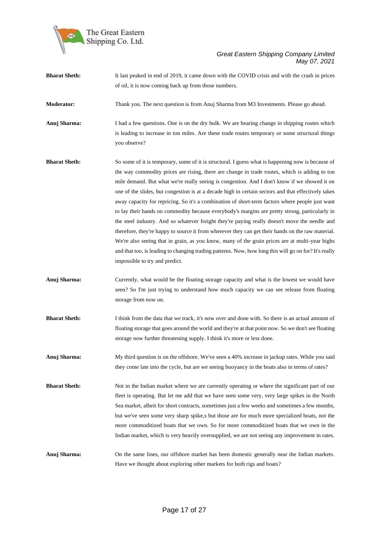

| <b>Bharat Sheth:</b> | It last peaked in end of 2019, it came down with the COVID crisis and with the crash in prices                                                                                                                                                                                                                                                                                                                                                                                                                                                                                                                                                                                                                                                                                                                                                                                                                                                                                                                                                                    |
|----------------------|-------------------------------------------------------------------------------------------------------------------------------------------------------------------------------------------------------------------------------------------------------------------------------------------------------------------------------------------------------------------------------------------------------------------------------------------------------------------------------------------------------------------------------------------------------------------------------------------------------------------------------------------------------------------------------------------------------------------------------------------------------------------------------------------------------------------------------------------------------------------------------------------------------------------------------------------------------------------------------------------------------------------------------------------------------------------|
|                      | of oil, it is now coming back up from those numbers.                                                                                                                                                                                                                                                                                                                                                                                                                                                                                                                                                                                                                                                                                                                                                                                                                                                                                                                                                                                                              |
| <b>Moderator:</b>    | Thank you. The next question is from Anuj Sharma from M3 Investments. Please go ahead.                                                                                                                                                                                                                                                                                                                                                                                                                                                                                                                                                                                                                                                                                                                                                                                                                                                                                                                                                                            |
| Anuj Sharma:         | I had a few questions. One is on the dry bulk. We are hearing change in shipping routes which<br>is leading to increase in ton miles. Are these trade routes temporary or some structural things<br>you observe?                                                                                                                                                                                                                                                                                                                                                                                                                                                                                                                                                                                                                                                                                                                                                                                                                                                  |
| <b>Bharat Sheth:</b> | So some of it is temporary, some of it is structural. I guess what is happening now is because of<br>the way commodity prices are rising, there are change in trade routes, which is adding to ton<br>mile demand. But what we're really seeing is congestion. And I don't know if we showed it on<br>one of the slides, but congestion is at a decade high in certain sectors and that effectively takes<br>away capacity for repricing. So it's a combination of short-term factors where people just want<br>to lay their hands on commodity because everybody's margins are pretty strong, particularly in<br>the steel industry. And so whatever freight they're paying really doesn't move the needle and<br>therefore, they're happy to source it from wherever they can get their hands on the raw material.<br>We're also seeing that in grain, as you know, many of the grain prices are at multi-year highs<br>and that too, is leading to changing trading patterns. Now, how long this will go on for? It's really<br>impossible to try and predict. |
| Anuj Sharma:         | Currently, what would be the floating storage capacity and what is the lowest we would have<br>seen? So I'm just trying to understand how much capacity we can see release from floating<br>storage from now on.                                                                                                                                                                                                                                                                                                                                                                                                                                                                                                                                                                                                                                                                                                                                                                                                                                                  |
| <b>Bharat Sheth:</b> | I think from the data that we track, it's now over and done with. So there is an actual amount of<br>floating storage that goes around the world and they're at that point now. So we don't see floating<br>storage now further threatening supply. I think it's more or less done.                                                                                                                                                                                                                                                                                                                                                                                                                                                                                                                                                                                                                                                                                                                                                                               |
| Anuj Sharma:         | My third question is on the offshore. We've seen a 40% increase in jackup rates. While you said<br>they come late into the cycle, but are we seeing buoyancy in the boats also in terms of rates?                                                                                                                                                                                                                                                                                                                                                                                                                                                                                                                                                                                                                                                                                                                                                                                                                                                                 |
| <b>Bharat Sheth:</b> | Not in the Indian market where we are currently operating or where the significant part of our<br>fleet is operating. But let me add that we have seen some very, very large spikes in the North<br>Sea market, albeit for short contracts, sometimes just a few weeks and sometimes a few months,<br>but we've seen some very sharp spike,s but those are for much more specialized boats, not the<br>more commoditized boats that we own. So for more commoditized boats that we own in the<br>Indian market, which is very heavily oversupplied, we are not seeing any improvement in rates.                                                                                                                                                                                                                                                                                                                                                                                                                                                                   |
| Anuj Sharma:         | On the same lines, our offshore market has been domestic generally near the Indian markets.                                                                                                                                                                                                                                                                                                                                                                                                                                                                                                                                                                                                                                                                                                                                                                                                                                                                                                                                                                       |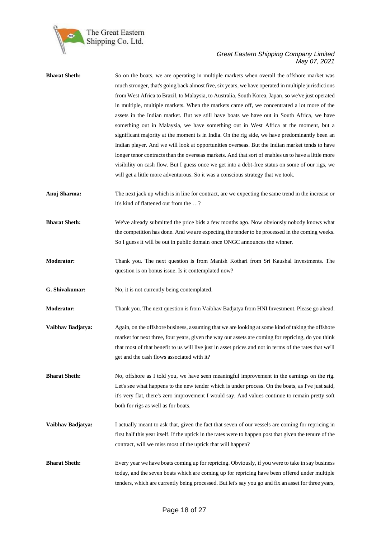

| <b>Bharat Sheth:</b> | So on the boats, we are operating in multiple markets when overall the offshore market was<br>much stronger, that's going back almost five, six years, we have operated in multiple jurisdictions<br>from West Africa to Brazil, to Malaysia, to Australia, South Korea, Japan, so we've just operated<br>in multiple, multiple markets. When the markets came off, we concentrated a lot more of the<br>assets in the Indian market. But we still have boats we have out in South Africa, we have<br>something out in Malaysia, we have something out in West Africa at the moment, but a<br>significant majority at the moment is in India. On the rig side, we have predominantly been an<br>Indian player. And we will look at opportunities overseas. But the Indian market tends to have<br>longer tenor contracts than the overseas markets. And that sort of enables us to have a little more<br>visibility on cash flow. But I guess once we get into a debt-free status on some of our rigs, we<br>will get a little more adventurous. So it was a conscious strategy that we took. |
|----------------------|-----------------------------------------------------------------------------------------------------------------------------------------------------------------------------------------------------------------------------------------------------------------------------------------------------------------------------------------------------------------------------------------------------------------------------------------------------------------------------------------------------------------------------------------------------------------------------------------------------------------------------------------------------------------------------------------------------------------------------------------------------------------------------------------------------------------------------------------------------------------------------------------------------------------------------------------------------------------------------------------------------------------------------------------------------------------------------------------------|
| Anuj Sharma:         | The next jack up which is in line for contract, are we expecting the same trend in the increase or<br>it's kind of flattened out from the ?                                                                                                                                                                                                                                                                                                                                                                                                                                                                                                                                                                                                                                                                                                                                                                                                                                                                                                                                                   |
| <b>Bharat Sheth:</b> | We've already submitted the price bids a few months ago. Now obviously nobody knows what<br>the competition has done. And we are expecting the tender to be processed in the coming weeks.<br>So I guess it will be out in public domain once ONGC announces the winner.                                                                                                                                                                                                                                                                                                                                                                                                                                                                                                                                                                                                                                                                                                                                                                                                                      |
| Moderator:           | Thank you. The next question is from Manish Kothari from Sri Kaushal Investments. The<br>question is on bonus issue. Is it contemplated now?                                                                                                                                                                                                                                                                                                                                                                                                                                                                                                                                                                                                                                                                                                                                                                                                                                                                                                                                                  |
| G. Shivakumar:       | No, it is not currently being contemplated.                                                                                                                                                                                                                                                                                                                                                                                                                                                                                                                                                                                                                                                                                                                                                                                                                                                                                                                                                                                                                                                   |
| Moderator:           | Thank you. The next question is from Vaibhav Badjatya from HNI Investment. Please go ahead.                                                                                                                                                                                                                                                                                                                                                                                                                                                                                                                                                                                                                                                                                                                                                                                                                                                                                                                                                                                                   |
| Vaibhav Badjatya:    | Again, on the offshore business, assuming that we are looking at some kind of taking the offshore<br>market for next three, four years, given the way our assets are coming for repricing, do you think<br>that most of that benefit to us will live just in asset prices and not in terms of the rates that we'll<br>get and the cash flows associated with it?                                                                                                                                                                                                                                                                                                                                                                                                                                                                                                                                                                                                                                                                                                                              |
| <b>Bharat Sheth:</b> | No, offshore as I told you, we have seen meaningful improvement in the earnings on the rig.<br>Let's see what happens to the new tender which is under process. On the boats, as I've just said,<br>it's very flat, there's zero improvement I would say. And values continue to remain pretty soft<br>both for rigs as well as for boats.                                                                                                                                                                                                                                                                                                                                                                                                                                                                                                                                                                                                                                                                                                                                                    |
| Vaibhav Badjatya:    | I actually meant to ask that, given the fact that seven of our vessels are coming for repricing in<br>first half this year itself. If the uptick in the rates were to happen post that given the tenure of the<br>contract, will we miss most of the uptick that will happen?                                                                                                                                                                                                                                                                                                                                                                                                                                                                                                                                                                                                                                                                                                                                                                                                                 |
| <b>Bharat Sheth:</b> | Every year we have boats coming up for repricing. Obviously, if you were to take in say business<br>today, and the seven boats which are coming up for repricing have been offered under multiple<br>tenders, which are currently being processed. But let's say you go and fix an asset for three years,                                                                                                                                                                                                                                                                                                                                                                                                                                                                                                                                                                                                                                                                                                                                                                                     |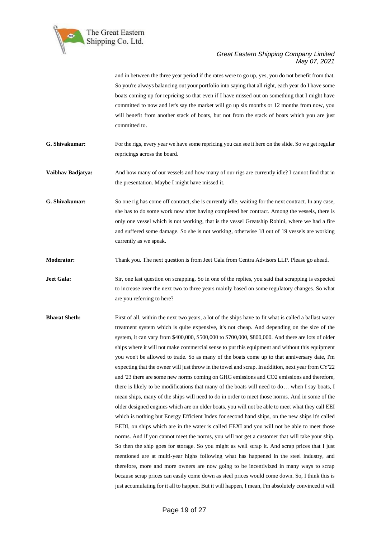

and in between the three year period if the rates were to go up, yes, you do not benefit from that. So you're always balancing out your portfolio into saying that all right, each year do I have some boats coming up for repricing so that even if I have missed out on something that I might have committed to now and let's say the market will go up six months or 12 months from now, you will benefit from another stack of boats, but not from the stack of boats which you are just committed to.

**G. Shivakumar:** For the rigs, every year we have some repricing you can see it here on the slide. So we get regular repricings across the board.

**Vaibhav Badjatya:** And how many of our vessels and how many of our rigs are currently idle? I cannot find that in the presentation. Maybe I might have missed it.

**G. Shivakumar:** So one rig has come off contract, she is currently idle, waiting for the next contract. In any case, she has to do some work now after having completed her contract. Among the vessels, there is only one vessel which is not working, that is the vessel Greatship Rohini, where we had a fire and suffered some damage. So she is not working, otherwise 18 out of 19 vessels are working currently as we speak.

**Moderator:** Thank you. The next question is from Jeet Gala from Centra Advisors LLP. Please go ahead.

**Jeet Gala:** Sir, one last question on scrapping. So in one of the replies, you said that scrapping is expected to increase over the next two to three years mainly based on some regulatory changes. So what are you referring to here?

**Bharat Sheth:** First of all, within the next two years, a lot of the ships have to fit what is called a ballast water treatment system which is quite expensive, it's not cheap. And depending on the size of the system, it can vary from \$400,000, \$500,000 to \$700,000, \$800,000. And there are lots of older ships where it will not make commercial sense to put this equipment and without this equipment you won't be allowed to trade. So as many of the boats come up to that anniversary date, I'm expecting that the owner will just throw in the towel and scrap. In addition, next year from CY'22 and '23 there are some new norms coming on GHG emissions and CO2 emissions and therefore, there is likely to be modifications that many of the boats will need to do… when I say boats, I mean ships, many of the ships will need to do in order to meet those norms. And in some of the older designed engines which are on older boats, you will not be able to meet what they call EEI which is nothing but Energy Efficient Index for second hand ships, on the new ships it's called EEDI, on ships which are in the water is called EEXI and you will not be able to meet those norms. And if you cannot meet the norms, you will not get a customer that will take your ship. So then the ship goes for storage. So you might as well scrap it. And scrap prices that I just mentioned are at multi-year highs following what has happened in the steel industry, and therefore, more and more owners are now going to be incentivized in many ways to scrap because scrap prices can easily come down as steel prices would come down. So, I think this is just accumulating for it all to happen. But it will happen, I mean, I'm absolutely convinced it will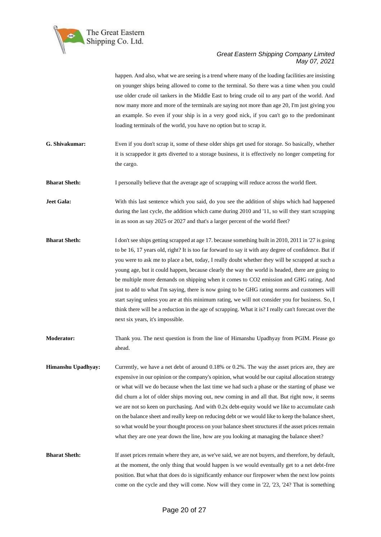

happen. And also, what we are seeing is a trend where many of the loading facilities are insisting on younger ships being allowed to come to the terminal. So there was a time when you could use older crude oil tankers in the Middle East to bring crude oil to any part of the world. And now many more and more of the terminals are saying not more than age 20, I'm just giving you an example. So even if your ship is in a very good nick, if you can't go to the predominant loading terminals of the world, you have no option but to scrap it.

**G. Shivakumar:** Even if you don't scrap it, some of these older ships get used for storage. So basically, whether it is scrappedor it gets diverted to a storage business, it is effectively no longer competing for the cargo.

**Bharat Sheth:** I personally believe that the average age of scrapping will reduce across the world fleet.

**Jeet Gala:** With this last sentence which you said, do you see the addition of ships which had happened during the last cycle, the addition which came during 2010 and '11, so will they start scrapping in as soon as say 2025 or 2027 and that's a larger percent of the world fleet?

- **Bharat Sheth:** I don't see ships getting scrapped at age 17. because something built in 2010, 2011 in '27 is going to be 16, 17 years old, right? It is too far forward to say it with any degree of confidence. But if you were to ask me to place a bet, today, I really doubt whether they will be scrapped at such a young age, but it could happen, because clearly the way the world is headed, there are going to be multiple more demands on shipping when it comes to CO2 emission and GHG rating. And just to add to what I'm saying, there is now going to be GHG rating norms and customers will start saying unless you are at this minimum rating, we will not consider you for business. So, I think there will be a reduction in the age of scrapping. What it is? I really can't forecast over the next six years, it's impossible.
- **Moderator:** Thank you. The next question is from the line of Himanshu Upadhyay from PGIM. Please go ahead.
- **Himanshu Upadhyay:** Currently, we have a net debt of around 0.18% or 0.2%. The way the asset prices are, they are expensive in our opinion or the company's opinion, what would be our capital allocation strategy or what will we do because when the last time we had such a phase or the starting of phase we did churn a lot of older ships moving out, new coming in and all that. But right now, it seems we are not so keen on purchasing. And with 0.2x debt-equity would we like to accumulate cash on the balance sheet and really keep on reducing debt or we would like to keep the balance sheet, so what would be your thought process on your balance sheet structures if the asset prices remain what they are one year down the line, how are you looking at managing the balance sheet?

**Bharat Sheth:** If asset prices remain where they are, as we've said, we are not buyers, and therefore, by default, at the moment, the only thing that would happen is we would eventually get to a net debt-free position. But what that does do is significantly enhance our firepower when the next low points come on the cycle and they will come. Now will they come in '22, '23, '24? That is something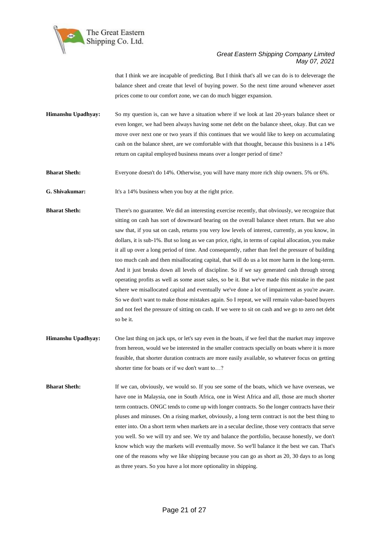

that I think we are incapable of predicting. But I think that's all we can do is to deleverage the balance sheet and create that level of buying power. So the next time around whenever asset prices come to our comfort zone, we can do much bigger expansion.

**Himanshu Upadhyay:** So my question is, can we have a situation where if we look at last 20-years balance sheet or even longer, we had been always having some net debt on the balance sheet, okay. But can we move over next one or two years if this continues that we would like to keep on accumulating cash on the balance sheet, are we comfortable with that thought, because this business is a 14% return on capital employed business means over a longer period of time?

**Bharat Sheth:** Everyone doesn't do 14%. Otherwise, you will have many more rich ship owners. 5% or 6%.

**G. Shivakumar:** It's a 14% business when you buy at the right price.

- **Bharat Sheth:** There's no guarantee. We did an interesting exercise recently, that obviously, we recognize that sitting on cash has sort of downward bearing on the overall balance sheet return. But we also saw that, if you sat on cash, returns you very low levels of interest, currently, as you know, in dollars, it is sub-1%. But so long as we can price, right, in terms of capital allocation, you make it all up over a long period of time. And consequently, rather than feel the pressure of building too much cash and then misallocating capital, that will do us a lot more harm in the long-term. And it just breaks down all levels of discipline. So if we say generated cash through strong operating profits as well as some asset sales, so be it. But we've made this mistake in the past where we misallocated capital and eventually we've done a lot of impairment as you're aware. So we don't want to make those mistakes again. So I repeat, we will remain value-based buyers and not feel the pressure of sitting on cash. If we were to sit on cash and we go to zero net debt so be it.
- **Himanshu Upadhyay:** One last thing on jack ups, or let's say even in the boats, if we feel that the market may improve from hereon, would we be interested in the smaller contracts specially on boats where it is more feasible, that shorter duration contracts are more easily available, so whatever focus on getting shorter time for boats or if we don't want to…?
- **Bharat Sheth:** If we can, obviously, we would so. If you see some of the boats, which we have overseas, we have one in Malaysia, one in South Africa, one in West Africa and all, those are much shorter term contracts. ONGC tends to come up with longer contracts. So the longer contracts have their pluses and minuses. On a rising market, obviously, a long term contract is not the best thing to enter into. On a short term when markets are in a secular decline, those very contracts that serve you well. So we will try and see. We try and balance the portfolio, because honestly, we don't know which way the markets will eventually move. So we'll balance it the best we can. That's one of the reasons why we like shipping because you can go as short as 20, 30 days to as long as three years. So you have a lot more optionality in shipping.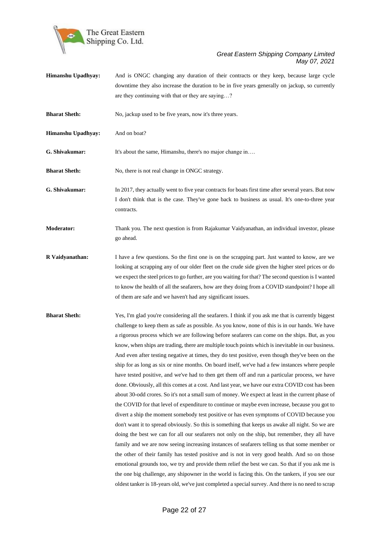

- **Himanshu Upadhyay:** And is ONGC changing any duration of their contracts or they keep, because large cycle downtime they also increase the duration to be in five years generally on jackup, so currently are they continuing with that or they are saying…?
- **Bharat Sheth:** No, jackup used to be five years, now it's three years.
- **Himanshu Upadhyay:** And on boat?

**G. Shivakumar:** It's about the same, Himanshu, there's no major change in...

**Bharat Sheth:** No, there is not real change in ONGC strategy.

**G. Shivakumar:** In 2017, they actually went to five year contracts for boats first time after several years. But now I don't think that is the case. They've gone back to business as usual. It's one-to-three year contracts.

**Moderator:** Thank you. The next question is from Rajakumar Vaidyanathan, an individual investor, please go ahead.

**R Vaidyanathan:** I have a few questions. So the first one is on the scrapping part. Just wanted to know, are we looking at scrapping any of our older fleet on the crude side given the higher steel prices or do we expect the steel prices to go further, are you waiting for that? The second question is I wanted to know the health of all the seafarers, how are they doing from a COVID standpoint? I hope all of them are safe and we haven't had any significant issues.

**Bharat Sheth:** Yes, I'm glad you're considering all the seafarers. I think if you ask me that is currently biggest challenge to keep them as safe as possible. As you know, none of this is in our hands. We have a rigorous process which we are following before seafarers can come on the ships. But, as you know, when ships are trading, there are multiple touch points which is inevitable in our business. And even after testing negative at times, they do test positive, even though they've been on the ship for as long as six or nine months. On board itself, we've had a few instances where people have tested positive, and we've had to then get them off and run a particular process, we have done. Obviously, all this comes at a cost. And last year, we have our extra COVID cost has been about 30-odd crores. So it's not a small sum of money. We expect at least in the current phase of the COVID for that level of expenditure to continue or maybe even increase, because you got to divert a ship the moment somebody test positive or has even symptoms of COVID because you don't want it to spread obviously. So this is something that keeps us awake all night. So we are doing the best we can for all our seafarers not only on the ship, but remember, they all have family and we are now seeing increasing instances of seafarers telling us that some member or the other of their family has tested positive and is not in very good health. And so on those emotional grounds too, we try and provide them relief the best we can. So that if you ask me is the one big challenge, any shipowner in the world is facing this. On the tankers, if you see our oldest tanker is 18-years old, we've just completed a special survey. And there is no need to scrap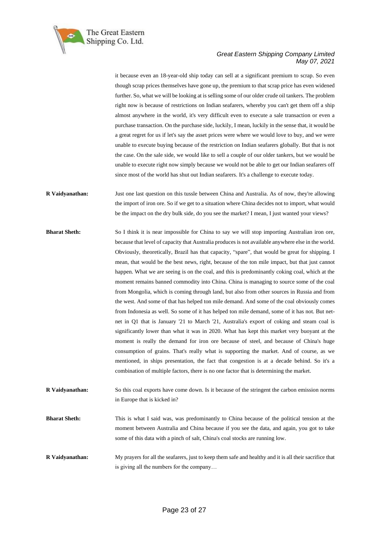

it because even an 18-year-old ship today can sell at a significant premium to scrap. So even though scrap prices themselves have gone up, the premium to that scrap price has even widened further. So, what we will be looking at is selling some of our older crude oil tankers. The problem right now is because of restrictions on Indian seafarers, whereby you can't get them off a ship almost anywhere in the world, it's very difficult even to execute a sale transaction or even a purchase transaction. On the purchase side, luckily, I mean, luckily in the sense that, it would be a great regret for us if let's say the asset prices were where we would love to buy, and we were unable to execute buying because of the restriction on Indian seafarers globally. But that is not the case. On the sale side, we would like to sell a couple of our older tankers, but we would be unable to execute right now simply because we would not be able to get our Indian seafarers off since most of the world has shut out Indian seafarers. It's a challenge to execute today.

- **R Vaidyanathan:** Just one last question on this tussle between China and Australia. As of now, they're allowing the import of iron ore. So if we get to a situation where China decides not to import, what would be the impact on the dry bulk side, do you see the market? I mean, I just wanted your views?
- **Bharat Sheth:** So I think it is near impossible for China to say we will stop importing Australian iron ore, because that level of capacity that Australia produces is not available anywhere else in the world. Obviously, theoretically, Brazil has that capacity, "spare", that would be great for shipping. I mean, that would be the best news, right, because of the ton mile impact, but that just cannot happen. What we are seeing is on the coal, and this is predominantly coking coal, which at the moment remains banned commodity into China. China is managing to source some of the coal from Mongolia, which is coming through land, but also from other sources in Russia and from the west. And some of that has helped ton mile demand. And some of the coal obviously comes from Indonesia as well. So some of it has helped ton mile demand, some of it has not. But netnet in Q1 that is January '21 to March '21, Australia's export of coking and steam coal is significantly lower than what it was in 2020. What has kept this market very buoyant at the moment is really the demand for iron ore because of steel, and because of China's huge consumption of grains. That's really what is supporting the market. And of course, as we mentioned, in ships presentation, the fact that congestion is at a decade behind. So it's a combination of multiple factors, there is no one factor that is determining the market.
- **R Vaidyanathan:** So this coal exports have come down. Is it because of the stringent the carbon emission norms in Europe that is kicked in?
- **Bharat Sheth:** This is what I said was, was predominantly to China because of the political tension at the moment between Australia and China because if you see the data, and again, you got to take some of this data with a pinch of salt, China's coal stocks are running low.
- **R Vaidyanathan:** My prayers for all the seafarers, just to keep them safe and healthy and it is all their sacrifice that is giving all the numbers for the company…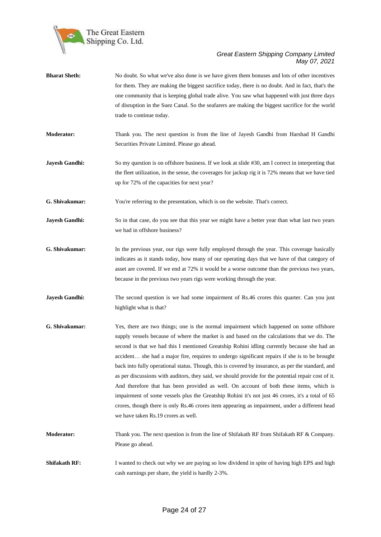

| <b>Bharat Sheth:</b>  | No doubt. So what we've also done is we have given them bonuses and lots of other incentives<br>for them. They are making the biggest sacrifice today, there is no doubt. And in fact, that's the<br>one community that is keeping global trade alive. You saw what happened with just three days<br>of disruption in the Suez Canal. So the seafarers are making the biggest sacrifice for the world<br>trade to continue today.                                                                                                                                                                                                                                                                                                                                                                                                                                                                                                           |
|-----------------------|---------------------------------------------------------------------------------------------------------------------------------------------------------------------------------------------------------------------------------------------------------------------------------------------------------------------------------------------------------------------------------------------------------------------------------------------------------------------------------------------------------------------------------------------------------------------------------------------------------------------------------------------------------------------------------------------------------------------------------------------------------------------------------------------------------------------------------------------------------------------------------------------------------------------------------------------|
| <b>Moderator:</b>     | Thank you. The next question is from the line of Jayesh Gandhi from Harshad H Gandhi<br>Securities Private Limited. Please go ahead.                                                                                                                                                                                                                                                                                                                                                                                                                                                                                                                                                                                                                                                                                                                                                                                                        |
| <b>Jayesh Gandhi:</b> | So my question is on offshore business. If we look at slide #30, am I correct in interpreting that<br>the fleet utilization, in the sense, the coverages for jackup rig it is 72% means that we have tied<br>up for 72% of the capacities for next year?                                                                                                                                                                                                                                                                                                                                                                                                                                                                                                                                                                                                                                                                                    |
| G. Shivakumar:        | You're referring to the presentation, which is on the website. That's correct.                                                                                                                                                                                                                                                                                                                                                                                                                                                                                                                                                                                                                                                                                                                                                                                                                                                              |
| Jayesh Gandhi:        | So in that case, do you see that this year we might have a better year than what last two years<br>we had in offshore business?                                                                                                                                                                                                                                                                                                                                                                                                                                                                                                                                                                                                                                                                                                                                                                                                             |
| G. Shivakumar:        | In the previous year, our rigs were fully employed through the year. This coverage basically<br>indicates as it stands today, how many of our operating days that we have of that category of<br>asset are covered. If we end at 72% it would be a worse outcome than the previous two years,<br>because in the previous two years rigs were working through the year.                                                                                                                                                                                                                                                                                                                                                                                                                                                                                                                                                                      |
| Jayesh Gandhi:        | The second question is we had some impairment of Rs.46 crores this quarter. Can you just<br>highlight what is that?                                                                                                                                                                                                                                                                                                                                                                                                                                                                                                                                                                                                                                                                                                                                                                                                                         |
| G. Shivakumar:        | Yes, there are two things; one is the normal impairment which happened on some offshore<br>supply vessels because of where the market is and based on the calculations that we do. The<br>second is that we had this I mentioned Greatship Rohini idling currently because she had an<br>accident she had a major fire, requires to undergo significant repairs if she is to be brought<br>back into fully operational status. Though, this is covered by insurance, as per the standard, and<br>as per discussions with auditors, they said, we should provide for the potential repair cost of it.<br>And therefore that has been provided as well. On account of both these items, which is<br>impairment of some vessels plus the Greatship Rohini it's not just 46 crores, it's a total of 65<br>crores, though there is only Rs.46 crores item appearing as impairment, under a different head<br>we have taken Rs.19 crores as well. |
| <b>Moderator:</b>     | Thank you. The next question is from the line of Shifakath RF from Shifakath RF & Company.<br>Please go ahead.                                                                                                                                                                                                                                                                                                                                                                                                                                                                                                                                                                                                                                                                                                                                                                                                                              |
| <b>Shifakath RF:</b>  | I wanted to check out why we are paying so low dividend in spite of having high EPS and high<br>cash earnings per share, the yield is hardly 2-3%.                                                                                                                                                                                                                                                                                                                                                                                                                                                                                                                                                                                                                                                                                                                                                                                          |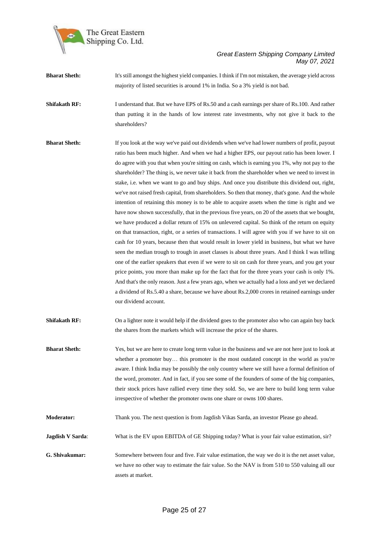

- **Bharat Sheth:** It's still amongst the highest yield companies. I think if I'm not mistaken, the average yield across majority of listed securities is around 1% in India. So a 3% yield is not bad.
- **Shifakath RF:** I understand that. But we have EPS of Rs.50 and a cash earnings per share of Rs.100. And rather than putting it in the hands of low interest rate investments, why not give it back to the shareholders?
- **Bharat Sheth:** If you look at the way we've paid out dividends when we've had lower numbers of profit, payout ratio has been much higher. And when we had a higher EPS, our payout ratio has been lower. I do agree with you that when you're sitting on cash, which is earning you 1%, why not pay to the shareholder? The thing is, we never take it back from the shareholder when we need to invest in stake, i.e. when we want to go and buy ships. And once you distribute this dividend out, right, we've not raised fresh capital, from shareholders. So then that money, that's gone. And the whole intention of retaining this money is to be able to acquire assets when the time is right and we have now shown successfully, that in the previous five years, on 20 of the assets that we bought, we have produced a dollar return of 15% on unlevered capital. So think of the return on equity on that transaction, right, or a series of transactions. I will agree with you if we have to sit on cash for 10 years, because then that would result in lower yield in business, but what we have seen the median trough to trough in asset classes is about three years. And I think I was telling one of the earlier speakers that even if we were to sit on cash for three years, and you get your price points, you more than make up for the fact that for the three years your cash is only 1%. And that's the only reason. Just a few years ago, when we actually had a loss and yet we declared a dividend of Rs.5.40 a share, because we have about Rs.2,000 crores in retained earnings under our dividend account.
- **Shifakath RF:** On a lighter note it would help if the dividend goes to the promoter also who can again buy back the shares from the markets which will increase the price of the shares.
- **Bharat Sheth:** Yes, but we are here to create long term value in the business and we are not here just to look at whether a promoter buy... this promoter is the most outdated concept in the world as you're aware. I think India may be possibly the only country where we still have a formal definition of the word, promoter. And in fact, if you see some of the founders of some of the big companies, their stock prices have rallied every time they sold. So, we are here to build long term value irrespective of whether the promoter owns one share or owns 100 shares.
- **Moderator:** Thank you. The next question is from Jagdish Vikas Sarda, an investor Please go ahead.
- **Jagdish V Sarda**: What is the EV upon EBITDA of GE Shipping today? What is your fair value estimation, sir?
- **G. Shivakumar:** Somewhere between four and five. Fair value estimation, the way we do it is the net asset value, we have no other way to estimate the fair value. So the NAV is from 510 to 550 valuing all our assets at market.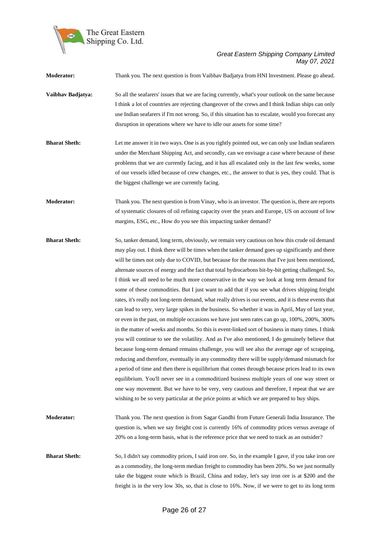

**Moderator:** Thank you. The next question is from Vaibhav Badjatya from HNI Investment. Please go ahead. **Vaibhav Badjatya:** So all the seafarers' issues that we are facing currently, what's your outlook on the same because I think a lot of countries are rejecting changeover of the crews and I think Indian ships can only use Indian seafarers if I'm not wrong. So, if this situation has to escalate, would you forecast any disruption in operations where we have to idle our assets for some time? **Bharat Sheth:** Let me answer it in two ways. One is as you rightly pointed out, we can only use Indian seafarers under the Merchant Shipping Act, and secondly, can we envisage a case where because of these problems that we are currently facing, and it has all escalated only in the last few weeks, some of our vessels idled because of crew changes, etc., the answer to that is yes, they could. That is the biggest challenge we are currently facing. **Moderator:** Thank you. The next question is from Vinay, who is an investor. The question is, there are reports of systematic closures of oil refining capacity over the years and Europe, US on account of low margins, ESG, etc., How do you see this impacting tanker demand? **Bharat Sheth:** So, tanker demand, long term, obviously, we remain very cautious on how this crude oil demand may play out. I think there will be times when the tanker demand goes up significantly and there will be times not only due to COVID, but because for the reasons that I've just been mentioned, alternate sources of energy and the fact that total hydrocarbons bit-by-bit getting challenged. So, I think we all need to be much more conservative in the way we look at long term demand for some of these commodities. But I just want to add that if you see what drives shipping freight rates, it's really not long-term demand, what really drives is our events, and it is these events that can lead to very, very large spikes in the business. So whether it was in April, May of last year, or even in the past, on multiple occasions we have just seen rates can go up, 100%, 200%, 300% in the matter of weeks and months. So this is event-linked sort of business in many times. I think you will continue to see the volatility. And as I've also mentioned, I do genuinely believe that because long-term demand remains challenge, you will see also the average age of scrapping, reducing and therefore, eventually in any commodity there will be supply/demand mismatch for a period of time and then there is equilibrium that comes through because prices lead to its own equilibrium. You'll never see in a commoditized business multiple years of one way street or one way movement. But we have to be very, very cautious and therefore, I repeat that we are wishing to be so very particular at the price points at which we are prepared to buy ships. **Moderator:** Thank you. The next question is from Sagar Gandhi from Future Generali India Insurance. The question is, when we say freight cost is currently 16% of commodity prices versus average of 20% on a long-term basis, what is the reference price that we need to track as an outsider? **Bharat Sheth:** So, I didn't say commodity prices, I said iron ore. So, in the example I gave, if you take iron ore as a commodity, the long-term median freight to commodity has been 20%. So we just normally take the biggest route which is Brazil, China and today, let's say iron ore is at \$200 and the freight is in the very low 30s, so, that is close to 16%. Now, if we were to get to its long term